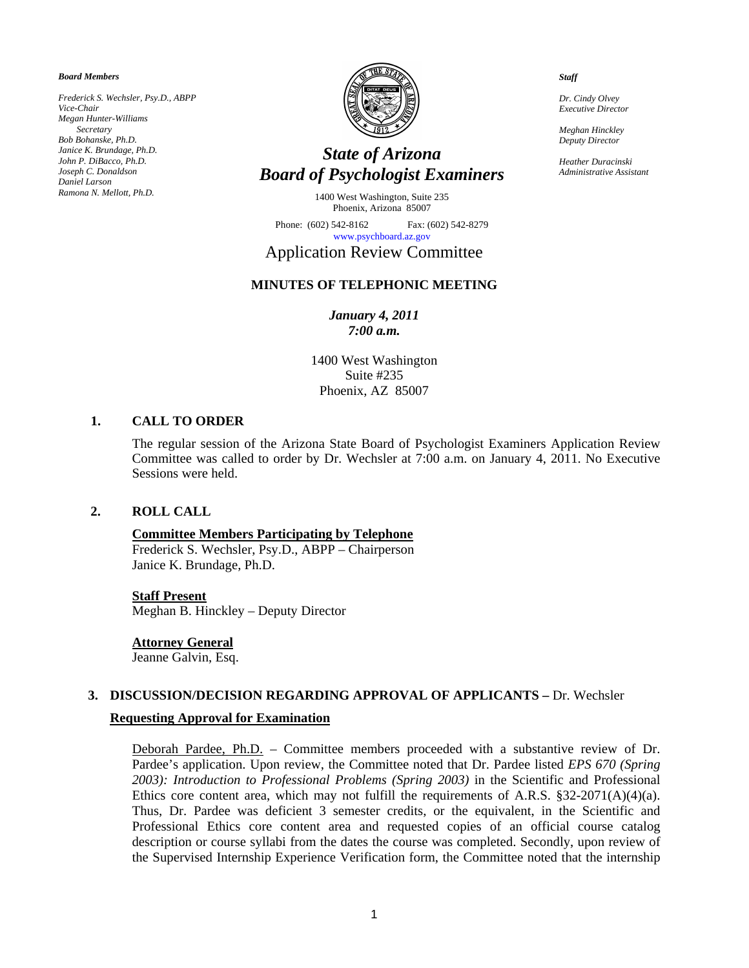*Board Members* 

*Frederick S. Wechsler, Psy.D., ABPP Vice-Chair Megan Hunter-Williams Secretary Bob Bohanske, Ph.D. Janice K. Brundage, Ph.D. John P. DiBacco, Ph.D. Joseph C. Donaldson Daniel Larson Ramona N. Mellott, Ph.D.* 



# *State of Arizona Board of Psychologist Examiners*

1400 West Washington, Suite 235 Phoenix, Arizona 85007

Phone: (602) 542-8162 Fax: (602) 542-8279 [www.psychboard.az.gov](http://www.psychboard.az.gov/) 

# Application Review Committee

# **MINUTES OF TELEPHONIC MEETING**

# *January 4, 2011 7:00 a.m.*

1400 West Washington Suite #235 Phoenix, AZ 85007

## **1. CALL TO ORDER**

The regular session of the Arizona State Board of Psychologist Examiners Application Review Committee was called to order by Dr. Wechsler at 7:00 a.m. on January 4, 2011. No Executive Sessions were held.

# **2. ROLL CALL**

# **Committee Members Participating by Telephone**

Frederick S. Wechsler, Psy.D., ABPP – Chairperson Janice K. Brundage, Ph.D.

#### **Staff Present**

Meghan B. Hinckley – Deputy Director

#### **Attorney General**

Jeanne Galvin, Esq.

#### **3. DISCUSSION/DECISION REGARDING APPROVAL OF APPLICANTS –** Dr. Wechsler

#### **Requesting Approval for Examination**

Deborah Pardee, Ph.D. – Committee members proceeded with a substantive review of Dr. Pardee's application. Upon review, the Committee noted that Dr. Pardee listed *EPS 670 (Spring 2003): Introduction to Professional Problems (Spring 2003)* in the Scientific and Professional Ethics core content area, which may not fulfill the requirements of A.R.S.  $\S 32-2071(A)(4)(a)$ . Thus, Dr. Pardee was deficient 3 semester credits, or the equivalent, in the Scientific and Professional Ethics core content area and requested copies of an official course catalog description or course syllabi from the dates the course was completed. Secondly, upon review of the Supervised Internship Experience Verification form, the Committee noted that the internship

*Staff* 

*Dr. Cindy Olvey Executive Director* 

*Meghan Hinckley Deputy Director* 

*Heather Duracinski Administrative Assistant*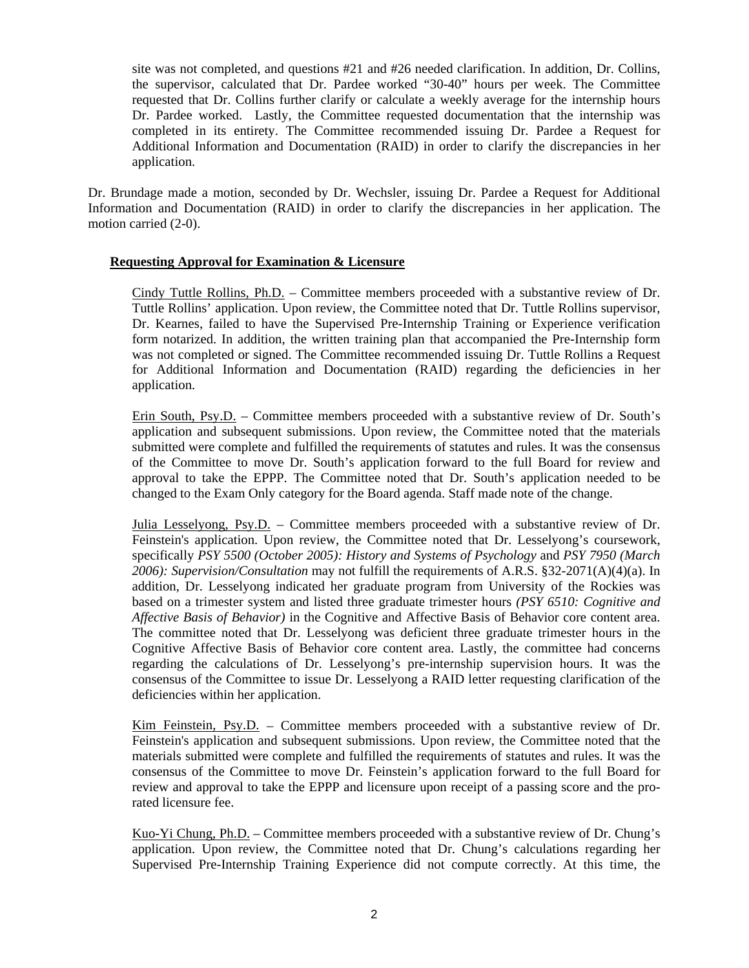site was not completed, and questions #21 and #26 needed clarification. In addition, Dr. Collins, the supervisor, calculated that Dr. Pardee worked "30-40" hours per week. The Committee requested that Dr. Collins further clarify or calculate a weekly average for the internship hours Dr. Pardee worked. Lastly, the Committee requested documentation that the internship was completed in its entirety. The Committee recommended issuing Dr. Pardee a Request for Additional Information and Documentation (RAID) in order to clarify the discrepancies in her application.

Dr. Brundage made a motion, seconded by Dr. Wechsler, issuing Dr. Pardee a Request for Additional Information and Documentation (RAID) in order to clarify the discrepancies in her application. The motion carried (2-0).

# **Requesting Approval for Examination & Licensure**

Cindy Tuttle Rollins, Ph.D. – Committee members proceeded with a substantive review of Dr. Tuttle Rollins' application. Upon review, the Committee noted that Dr. Tuttle Rollins supervisor, Dr. Kearnes, failed to have the Supervised Pre-Internship Training or Experience verification form notarized. In addition, the written training plan that accompanied the Pre-Internship form was not completed or signed. The Committee recommended issuing Dr. Tuttle Rollins a Request for Additional Information and Documentation (RAID) regarding the deficiencies in her application.

Erin South, Psy.D. – Committee members proceeded with a substantive review of Dr. South's application and subsequent submissions. Upon review, the Committee noted that the materials submitted were complete and fulfilled the requirements of statutes and rules. It was the consensus of the Committee to move Dr. South's application forward to the full Board for review and approval to take the EPPP. The Committee noted that Dr. South's application needed to be changed to the Exam Only category for the Board agenda. Staff made note of the change.

Julia Lesselyong, Psy.D. – Committee members proceeded with a substantive review of Dr. Feinstein's application. Upon review, the Committee noted that Dr. Lesselyong's coursework, specifically *PSY 5500 (October 2005): History and Systems of Psychology* and *PSY 7950 (March 2006): Supervision/Consultation* may not fulfill the requirements of A.R.S. §32-2071(A)(4)(a). In addition, Dr. Lesselyong indicated her graduate program from University of the Rockies was based on a trimester system and listed three graduate trimester hours *(PSY 6510: Cognitive and Affective Basis of Behavior)* in the Cognitive and Affective Basis of Behavior core content area. The committee noted that Dr. Lesselyong was deficient three graduate trimester hours in the Cognitive Affective Basis of Behavior core content area. Lastly, the committee had concerns regarding the calculations of Dr. Lesselyong's pre-internship supervision hours. It was the consensus of the Committee to issue Dr. Lesselyong a RAID letter requesting clarification of the deficiencies within her application.

Kim Feinstein, Psy.D. - Committee members proceeded with a substantive review of Dr. Feinstein's application and subsequent submissions. Upon review, the Committee noted that the materials submitted were complete and fulfilled the requirements of statutes and rules. It was the consensus of the Committee to move Dr. Feinstein's application forward to the full Board for review and approval to take the EPPP and licensure upon receipt of a passing score and the prorated licensure fee.

Kuo-Yi Chung, Ph.D. – Committee members proceeded with a substantive review of Dr. Chung's application. Upon review, the Committee noted that Dr. Chung's calculations regarding her Supervised Pre-Internship Training Experience did not compute correctly. At this time, the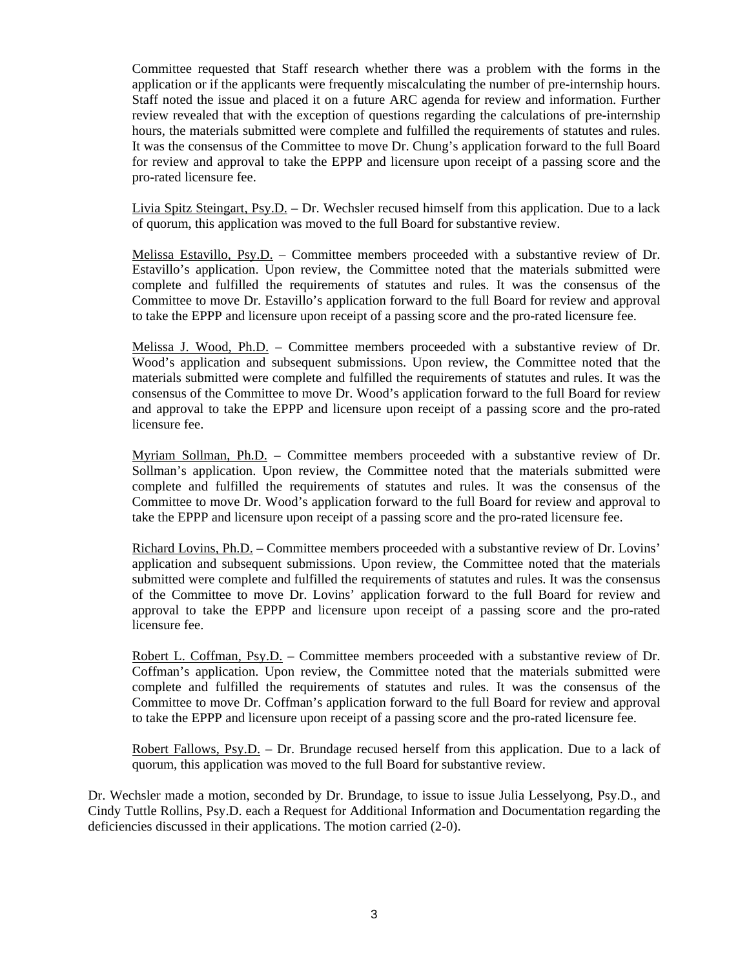Committee requested that Staff research whether there was a problem with the forms in the application or if the applicants were frequently miscalculating the number of pre-internship hours. Staff noted the issue and placed it on a future ARC agenda for review and information. Further review revealed that with the exception of questions regarding the calculations of pre-internship hours, the materials submitted were complete and fulfilled the requirements of statutes and rules. It was the consensus of the Committee to move Dr. Chung's application forward to the full Board for review and approval to take the EPPP and licensure upon receipt of a passing score and the pro-rated licensure fee.

Livia Spitz Steingart, Psy.D. – Dr. Wechsler recused himself from this application. Due to a lack of quorum, this application was moved to the full Board for substantive review.

Melissa Estavillo, Psy.D. – Committee members proceeded with a substantive review of Dr. Estavillo's application. Upon review, the Committee noted that the materials submitted were complete and fulfilled the requirements of statutes and rules. It was the consensus of the Committee to move Dr. Estavillo's application forward to the full Board for review and approval to take the EPPP and licensure upon receipt of a passing score and the pro-rated licensure fee.

Melissa J. Wood, Ph.D. – Committee members proceeded with a substantive review of Dr. Wood's application and subsequent submissions. Upon review, the Committee noted that the materials submitted were complete and fulfilled the requirements of statutes and rules. It was the consensus of the Committee to move Dr. Wood's application forward to the full Board for review and approval to take the EPPP and licensure upon receipt of a passing score and the pro-rated licensure fee.

Myriam Sollman, Ph.D. – Committee members proceeded with a substantive review of Dr. Sollman's application. Upon review, the Committee noted that the materials submitted were complete and fulfilled the requirements of statutes and rules. It was the consensus of the Committee to move Dr. Wood's application forward to the full Board for review and approval to take the EPPP and licensure upon receipt of a passing score and the pro-rated licensure fee.

Richard Lovins, Ph.D. – Committee members proceeded with a substantive review of Dr. Lovins' application and subsequent submissions. Upon review, the Committee noted that the materials submitted were complete and fulfilled the requirements of statutes and rules. It was the consensus of the Committee to move Dr. Lovins' application forward to the full Board for review and approval to take the EPPP and licensure upon receipt of a passing score and the pro-rated licensure fee.

Robert L. Coffman, Psy.D. – Committee members proceeded with a substantive review of Dr. Coffman's application. Upon review, the Committee noted that the materials submitted were complete and fulfilled the requirements of statutes and rules. It was the consensus of the Committee to move Dr. Coffman's application forward to the full Board for review and approval to take the EPPP and licensure upon receipt of a passing score and the pro-rated licensure fee.

Robert Fallows, Psy.D. – Dr. Brundage recused herself from this application. Due to a lack of quorum, this application was moved to the full Board for substantive review.

Dr. Wechsler made a motion, seconded by Dr. Brundage, to issue to issue Julia Lesselyong, Psy.D., and Cindy Tuttle Rollins, Psy.D. each a Request for Additional Information and Documentation regarding the deficiencies discussed in their applications. The motion carried (2-0).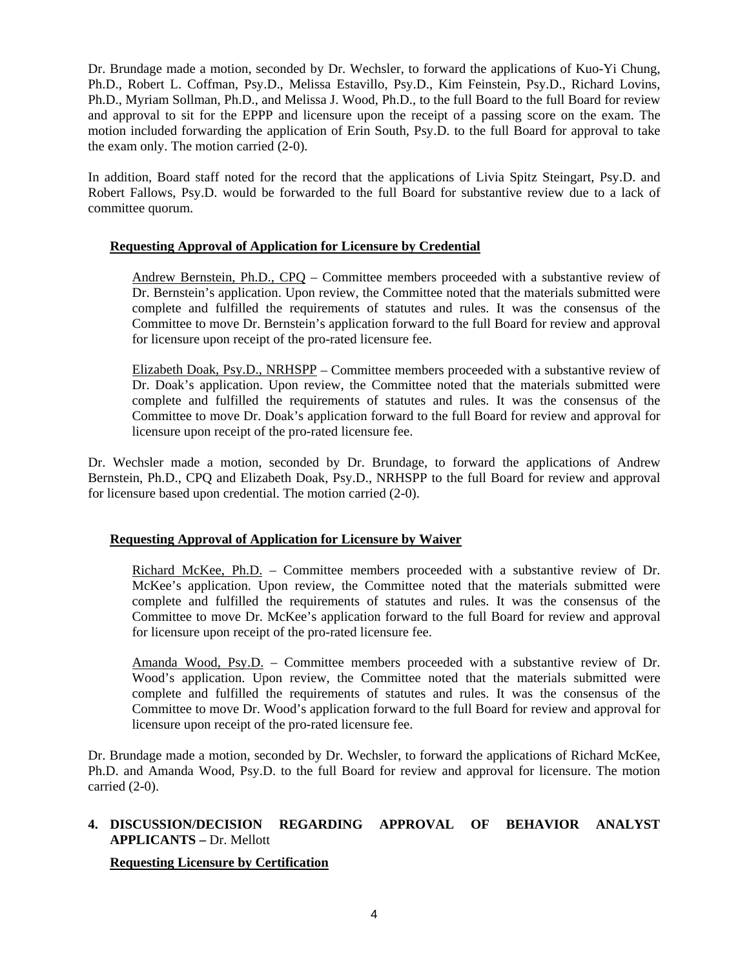Dr. Brundage made a motion, seconded by Dr. Wechsler, to forward the applications of Kuo-Yi Chung, Ph.D., Robert L. Coffman, Psy.D., Melissa Estavillo, Psy.D., Kim Feinstein, Psy.D., Richard Lovins, Ph.D., Myriam Sollman, Ph.D., and Melissa J. Wood, Ph.D., to the full Board to the full Board for review and approval to sit for the EPPP and licensure upon the receipt of a passing score on the exam. The motion included forwarding the application of Erin South, Psy.D. to the full Board for approval to take the exam only. The motion carried (2-0).

In addition, Board staff noted for the record that the applications of Livia Spitz Steingart, Psy.D. and Robert Fallows, Psy.D. would be forwarded to the full Board for substantive review due to a lack of committee quorum.

# **Requesting Approval of Application for Licensure by Credential**

Andrew Bernstein, Ph.D., CPQ – Committee members proceeded with a substantive review of Dr. Bernstein's application. Upon review, the Committee noted that the materials submitted were complete and fulfilled the requirements of statutes and rules. It was the consensus of the Committee to move Dr. Bernstein's application forward to the full Board for review and approval for licensure upon receipt of the pro-rated licensure fee.

Elizabeth Doak, Psy.D., NRHSPP – Committee members proceeded with a substantive review of Dr. Doak's application. Upon review, the Committee noted that the materials submitted were complete and fulfilled the requirements of statutes and rules. It was the consensus of the Committee to move Dr. Doak's application forward to the full Board for review and approval for licensure upon receipt of the pro-rated licensure fee.

Dr. Wechsler made a motion, seconded by Dr. Brundage, to forward the applications of Andrew Bernstein, Ph.D., CPQ and Elizabeth Doak, Psy.D., NRHSPP to the full Board for review and approval for licensure based upon credential. The motion carried (2-0).

# **Requesting Approval of Application for Licensure by Waiver**

Richard McKee, Ph.D. – Committee members proceeded with a substantive review of Dr. McKee's application. Upon review, the Committee noted that the materials submitted were complete and fulfilled the requirements of statutes and rules. It was the consensus of the Committee to move Dr. McKee's application forward to the full Board for review and approval for licensure upon receipt of the pro-rated licensure fee.

Amanda Wood, Psy.D. – Committee members proceeded with a substantive review of Dr. Wood's application. Upon review, the Committee noted that the materials submitted were complete and fulfilled the requirements of statutes and rules. It was the consensus of the Committee to move Dr. Wood's application forward to the full Board for review and approval for licensure upon receipt of the pro-rated licensure fee.

Dr. Brundage made a motion, seconded by Dr. Wechsler, to forward the applications of Richard McKee, Ph.D. and Amanda Wood, Psy.D. to the full Board for review and approval for licensure. The motion carried (2-0).

# **4. DISCUSSION/DECISION REGARDING APPROVAL OF BEHAVIOR ANALYST APPLICANTS –** Dr. Mellott

# **Requesting Licensure by Certification**